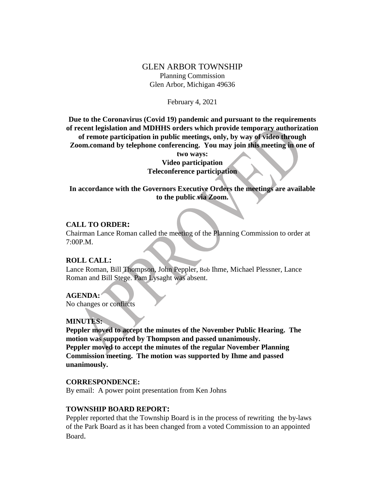# GLEN ARBOR TOWNSHIP Planning Commission Glen Arbor, Michigan 49636

February 4, 2021

**Due to the Coronavirus (Covid 19) pandemic and pursuant to the requirements of recent legislation and MDHHS orders which provide temporary authorization of remote participation in public meetings, only, by way of video through** 

**Zoom.comand by telephone conferencing. You may join this meeting in one of** 

**two ways: Video participation Teleconference participation**

**In accordance with the Governors Executive Orders the meetings are available to the public via Zoom.**

## **CALL TO ORDER:**

Chairman Lance Roman called the meeting of the Planning Commission to order at 7:00P.M.

## **ROLL CALL:**

Lance Roman, Bill Thompson, John Peppler, Bob Ihme, Michael Plessner, Lance Roman and Bill Stege. Pam Lysaght was absent.

## **AGENDA:**

No changes or conflicts

## **MINUTES:**

**Peppler moved to accept the minutes of the November Public Hearing. The motion was supported by Thompson and passed unanimously. Peppler moved to accept the minutes of the regular November Planning Commission meeting. The motion was supported by Ihme and passed unanimously.**

#### **CORRESPONDENCE:**

By email: A power point presentation from Ken Johns

#### **TOWNSHIP BOARD REPORT:**

Peppler reported that the Township Board is in the process of rewriting the by-laws of the Park Board as it has been changed from a voted Commission to an appointed Board.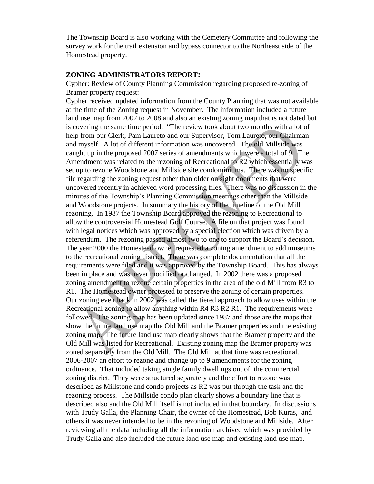The Township Board is also working with the Cemetery Committee and following the survey work for the trail extension and bypass connector to the Northeast side of the Homestead property.

#### **ZONING ADMINISTRATORS REPORT:**

Cypher: Review of County Planning Commission regarding proposed re-zoning of Bramer property request:

Cypher received updated information from the County Planning that was not available at the time of the Zoning request in November. The information included a future land use map from 2002 to 2008 and also an existing zoning map that is not dated but is covering the same time period. "The review took about two months with a lot of help from our Clerk, Pam Laureto and our Supervisor, Tom Laureto, our Chairman and myself. A lot of different information was uncovered. The old Millside was caught up in the proposed 2007 series of amendments which were a total of 9. The Amendment was related to the rezoning of Recreational to R2 which essentially was set up to rezone Woodstone and Millside site condominiums. There was no specific file regarding the zoning request other than older on sight documents that were uncovered recently in achieved word processing files. There was no discussion in the minutes of the Township's Planning Commission meetings other than the Millside and Woodstone projects. In summary the history of the timeline of the Old Mill rezoning. In 1987 the Township Board approved the rezoning to Recreational to allow the controversial Homestead Golf Course. A file on that project was found with legal notices which was approved by a special election which was driven by a referendum. The rezoning passed almost two to one to support the Board's decision. The year 2000 the Homestead owner requested a zoning amendment to add museums to the recreational zoning district. There was complete documentation that all the requirements were filed and it was approved by the Township Board. This has always been in place and was never modified or changed. In 2002 there was a proposed zoning amendment to rezone certain properties in the area of the old Mill from R3 to R1. The Homestead owner protested to preserve the zoning of certain properties. Our zoning even back in 2002 was called the tiered approach to allow uses within the Recreational zoning to allow anything within R4 R3 R2 R1. The requirements were followed. The zoning map has been updated since 1987 and those are the maps that show the future land use map the Old Mill and the Bramer properties and the existing zoning map. The future land use map clearly shows that the Bramer property and the Old Mill was listed for Recreational. Existing zoning map the Bramer property was zoned separately from the Old Mill. The Old Mill at that time was recreational. 2006-2007 an effort to rezone and change up to 9 amendments for the zoning ordinance. That included taking single family dwellings out of the commercial zoning district. They were structured separately and the effort to rezone was described as Millstone and condo projects as R2 was put through the task and the rezoning process. The Millside condo plan clearly shows a boundary line that is described also and the Old Mill itself is not included in that boundary. In discussions with Trudy Galla, the Planning Chair, the owner of the Homestead, Bob Kuras, and others it was never intended to be in the rezoning of Woodstone and Millside. After reviewing all the data including all the information archived which was provided by Trudy Galla and also included the future land use map and existing land use map.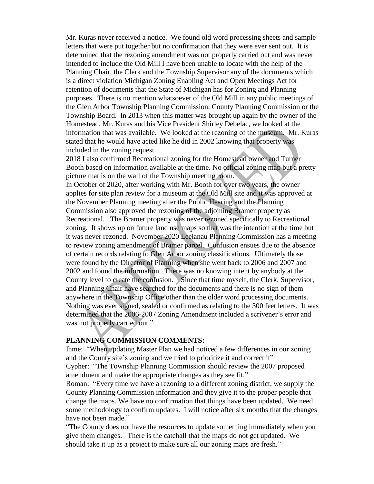Mr. Kuras never received a notice. We found old word processing sheets and sample letters that were put together but no confirmation that they were ever sent out. It is determined that the rezoning amendment was not properly carried out and was never intended to include the Old Mill I have been unable to locate with the help of the Planning Chair, the Clerk and the Township Supervisor any of the documents which is a direct violation Michigan Zoning Enabling Act and Open Meetings Act for retention of documents that the State of Michigan has for Zoning and Planning purposes. There is no mention whatsoever of the Old Mill in any public meetings of the Glen Arbor Township Planning Commission, County Planning Commission or the Township Board. In 2013 when this matter was brought up again by the owner of the Homestead, Mr. Kuras and his Vice President Shirley Debelac, we looked at the information that was available. We looked at the rezoning of the museum. Mr. Kuras stated that he would have acted like he did in 2002 knowing that property was included in the zoning request.

2018 I also confirmed Recreational zoning for the Homestead owner and Turner Booth based on information available at the time. No official zoning map but a pretty picture that is on the wall of the Township meeting room.

In October of 2020, after working with Mr. Booth for over two years, the owner applies for site plan review for a museum at the Old Mill site and it was approved at the November Planning meeting after the Public Hearing and the Planning Commission also approved the rezoning of the adjoining Bramer property as Recreational. The Bramer property was never rezoned specifically to Recreational zoning. It shows up on future land use maps so that was the intention at the time but it was never rezoned. November 2020 Leelanau Planning Commission has a meeting to review zoning amendment of Bramer parcel. Confusion ensues due to the absence of certain records relating to Glen Arbor zoning classifications. Ultimately those were found by the Director of Planning when she went back to 2006 and 2007 and 2002 and found the information. There was no knowing intent by anybody at the County level to create the confusion. Since that time myself, the Clerk, Supervisor, and Planning Chair have searched for the documents and there is no sign of them anywhere in the Township Office other than the older word processing documents. Nothing was ever signed, sealed or confirmed as relating to the 300 feet letters. It was determined that the 2006-2007 Zoning Amendment included a scrivener's error and was not properly carried out."

## **PLANNING COMMISSION COMMENTS:**

Ihme: "When updating Master Plan we had noticed a few differences in our zoning and the County site's zoning and we tried to prioritize it and correct it" Cypher: "The Township Planning Commission should review the 2007 proposed amendment and make the appropriate changes as they see fit."

Roman: "Every time we have a rezoning to a different zoning district, we supply the County Planning Commission information and they give it to the proper people that change the maps. We have no confirmation that things have been updated. We need some methodology to confirm updates. I will notice after six months that the changes have not been made."

"The County does not have the resources to update something immediately when you give them changes. There is the catchall that the maps do not get updated. We should take it up as a project to make sure all our zoning maps are fresh."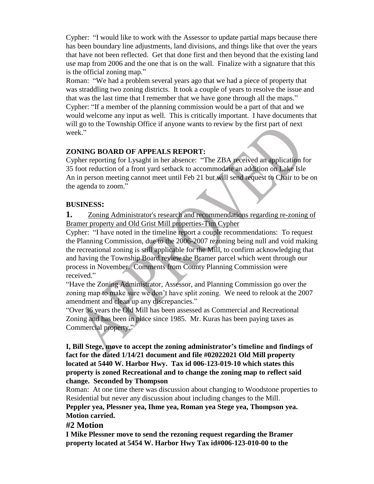Cypher: "I would like to work with the Assessor to update partial maps because there has been boundary line adjustments, land divisions, and things like that over the years that have not been reflected. Get that done first and then beyond that the existing land use map from 2006 and the one that is on the wall. Finalize with a signature that this is the official zoning map."

Roman: "We had a problem several years ago that we had a piece of property that was straddling two zoning districts. It took a couple of years to resolve the issue and that was the last time that I remember that we have gone through all the maps." Cypher: "If a member of the planning commission would be a part of that and we would welcome any input as well. This is critically important. I have documents that will go to the Township Office if anyone wants to review by the first part of next week."

# **ZONING BOARD OF APPEALS REPORT:**

Cypher reporting for Lysaght in her absence: "The ZBA received an application for 35 foot reduction of a front yard setback to accommodate an addition on Lake Isle An in person meeting cannot meet until Feb 21 but will send request to Chair to be on the agenda to zoom."

## **BUSINESS:**

**1.** Zoning Administrator's research and recommendations regarding re-zoning of Bramer property and Old Grist Mill properties-Tim Cypher

Cypher: "I have noted in the timeline report a couple recommendations: To request the Planning Commission, due to the 2006-2007 rezoning being null and void making the recreational zoning is still applicable for the Mill, to confirm acknowledging that and having the Township Board review the Bramer parcel which went through our process in November. Comments from County Planning Commission were received."

"Have the Zoning Administrator, Assessor, and Planning Commission go over the zoning map to make sure we don't have split zoning. We need to relook at the 2007 amendment and clean up any discrepancies."

"Over 36 years the Old Mill has been assessed as Commercial and Recreational Zoning and has been in place since 1985. Mr. Kuras has been paying taxes as Commercial property."

**I, Bill Stege, move to accept the zoning administrator's timeline and findings of fact for the dated 1/14/21 document and file #02022021 Old Mill property located at 5440 W. Harbor Hwy. Tax id 006-123-019-10 which states this property is zoned Recreational and to change the zoning map to reflect said change. Seconded by Thompson**

Roman: At one time there was discussion about changing to Woodstone properties to Residential but never any discussion about including changes to the Mill.

**Peppler yea, Plessner yea, Ihme yea, Roman yea Stege yea, Thompson yea. Motion carried.**

## **#2 Motion**

**I Mike Plessner move to send the rezoning request regarding the Bramer property located at 5454 W. Harbor Hwy Tax id#006-123-010-00 to the**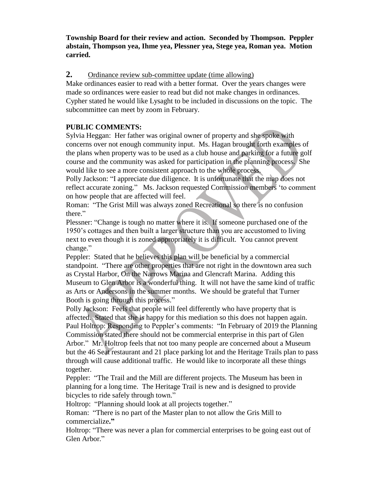**Township Board for their review and action. Seconded by Thompson. Peppler abstain, Thompson yea, Ihme yea, Plessner yea, Stege yea, Roman yea. Motion carried.**

# **2.** Ordinance review sub-committee update (time allowing)

Make ordinances easier to read with a better format. Over the years changes were made so ordinances were easier to read but did not make changes in ordinances. Cypher stated he would like Lysaght to be included in discussions on the topic. The subcommittee can meet by zoom in February.

# **PUBLIC COMMENTS:**

Sylvia Heggan: Her father was original owner of property and she spoke with concerns over not enough community input. Ms. Hagan brought forth examples of the plans when property was to be used as a club house and parking for a future golf course and the community was asked for participation in the planning process. She would like to see a more consistent approach to the whole process.

Polly Jackson: "I appreciate due diligence. It is unfortunate that the map does not reflect accurate zoning." Ms. Jackson requested Commission members 'to comment on how people that are affected will feel.

Roman: "The Grist Mill was always zoned Recreational so there is no confusion there."

Plessner: "Change is tough no matter where it is. If someone purchased one of the 1950's cottages and then built a larger structure than you are accustomed to living next to even though it is zoned appropriately it is difficult. You cannot prevent change."

Peppler: Stated that he believes this plan will be beneficial by a commercial standpoint. "There are other properties that are not right in the downtown area such as Crystal Harbor, On the Narrows Marina and Glencraft Marina. Adding this Museum to Glen Arbor is a wonderful thing. It will not have the same kind of traffic as Arts or Andersons in the summer months. We should be grateful that Turner Booth is going through this process."

Polly Jackson: Feels that people will feel differently who have property that is affected. Stated that she is happy for this mediation so this does not happen again. Paul Holtrop: Responding to Peppler's comments: "In February of 2019 the Planning Commission stated there should not be commercial enterprise in this part of Glen Arbor." Mr. Holtrop feels that not too many people are concerned about a Museum but the 46 Seat restaurant and 21 place parking lot and the Heritage Trails plan to pass through will cause additional traffic. He would like to incorporate all these things together.

Peppler: "The Trail and the Mill are different projects. The Museum has been in planning for a long time. The Heritage Trail is new and is designed to provide bicycles to ride safely through town."

Holtrop: "Planning should look at all projects together."

Roman: "There is no part of the Master plan to not allow the Gris Mill to commercialize**."** 

Holtrop: "There was never a plan for commercial enterprises to be going east out of Glen Arbor."